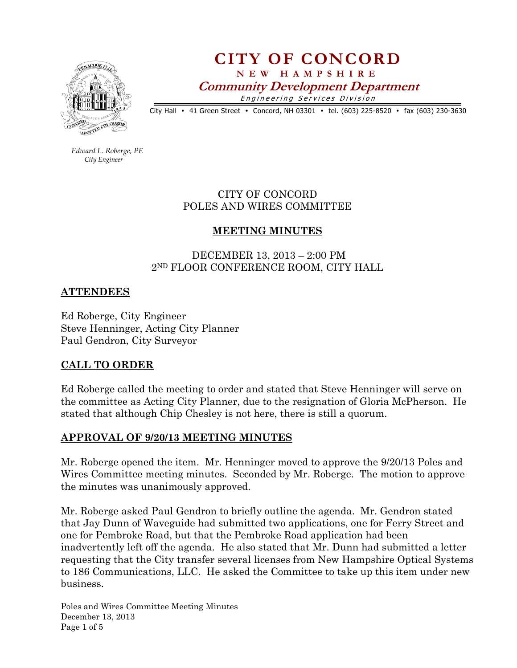

# CITY OF CONCORD N E W H A M P S H I R E Community Development Department Engineering Services Division

City Hall • 41 Green Street • Concord, NH 03301 • tel. (603) 225-8520 • fax (603) 230-3630

 Edward L. Roberge, PE City Engineer

#### CITY OF CONCORD POLES AND WIRES COMMITTEE

# MEETING MINUTES

# DECEMBER 13, 2013 – 2:00 PM 2ND FLOOR CONFERENCE ROOM, CITY HALL

# **ATTENDEES**

Ed Roberge, City Engineer Steve Henninger, Acting City Planner Paul Gendron, City Surveyor

# CALL TO ORDER

Ed Roberge called the meeting to order and stated that Steve Henninger will serve on the committee as Acting City Planner, due to the resignation of Gloria McPherson. He stated that although Chip Chesley is not here, there is still a quorum.

#### APPROVAL OF 9/20/13 MEETING MINUTES

Mr. Roberge opened the item. Mr. Henninger moved to approve the 9/20/13 Poles and Wires Committee meeting minutes. Seconded by Mr. Roberge. The motion to approve the minutes was unanimously approved.

Mr. Roberge asked Paul Gendron to briefly outline the agenda. Mr. Gendron stated that Jay Dunn of Waveguide had submitted two applications, one for Ferry Street and one for Pembroke Road, but that the Pembroke Road application had been inadvertently left off the agenda. He also stated that Mr. Dunn had submitted a letter requesting that the City transfer several licenses from New Hampshire Optical Systems to 186 Communications, LLC. He asked the Committee to take up this item under new business.

Poles and Wires Committee Meeting Minutes December 13, 2013 Page 1 of 5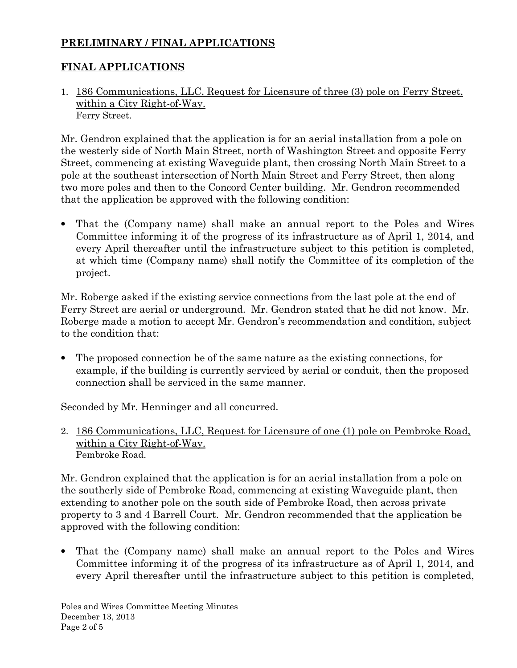# PRELIMINARY / FINAL APPLICATIONS

# FINAL APPLICATIONS

1. 186 Communications, LLC, Request for Licensure of three (3) pole on Ferry Street, within a City Right-of-Way. Ferry Street.

Mr. Gendron explained that the application is for an aerial installation from a pole on the westerly side of North Main Street, north of Washington Street and opposite Ferry Street, commencing at existing Waveguide plant, then crossing North Main Street to a pole at the southeast intersection of North Main Street and Ferry Street, then along two more poles and then to the Concord Center building. Mr. Gendron recommended that the application be approved with the following condition:

• That the (Company name) shall make an annual report to the Poles and Wires Committee informing it of the progress of its infrastructure as of April 1, 2014, and every April thereafter until the infrastructure subject to this petition is completed, at which time (Company name) shall notify the Committee of its completion of the project.

Mr. Roberge asked if the existing service connections from the last pole at the end of Ferry Street are aerial or underground. Mr. Gendron stated that he did not know. Mr. Roberge made a motion to accept Mr. Gendron's recommendation and condition, subject to the condition that:

• The proposed connection be of the same nature as the existing connections, for example, if the building is currently serviced by aerial or conduit, then the proposed connection shall be serviced in the same manner.

Seconded by Mr. Henninger and all concurred.

2. 186 Communications, LLC, Request for Licensure of one (1) pole on Pembroke Road, within a City Right-of-Way. Pembroke Road.

Mr. Gendron explained that the application is for an aerial installation from a pole on the southerly side of Pembroke Road, commencing at existing Waveguide plant, then extending to another pole on the south side of Pembroke Road, then across private property to 3 and 4 Barrell Court. Mr. Gendron recommended that the application be approved with the following condition:

• That the (Company name) shall make an annual report to the Poles and Wires Committee informing it of the progress of its infrastructure as of April 1, 2014, and every April thereafter until the infrastructure subject to this petition is completed,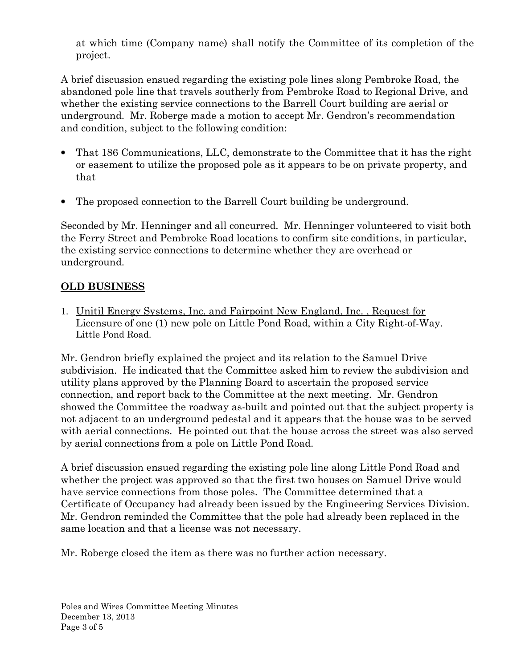at which time (Company name) shall notify the Committee of its completion of the project.

A brief discussion ensued regarding the existing pole lines along Pembroke Road, the abandoned pole line that travels southerly from Pembroke Road to Regional Drive, and whether the existing service connections to the Barrell Court building are aerial or underground. Mr. Roberge made a motion to accept Mr. Gendron's recommendation and condition, subject to the following condition:

- That 186 Communications, LLC, demonstrate to the Committee that it has the right or easement to utilize the proposed pole as it appears to be on private property, and that
- The proposed connection to the Barrell Court building be underground.

Seconded by Mr. Henninger and all concurred. Mr. Henninger volunteered to visit both the Ferry Street and Pembroke Road locations to confirm site conditions, in particular, the existing service connections to determine whether they are overhead or underground.

# OLD BUSINESS

1. Unitil Energy Systems, Inc. and Fairpoint New England, Inc. , Request for Licensure of one (1) new pole on Little Pond Road, within a City Right-of-Way. Little Pond Road.

Mr. Gendron briefly explained the project and its relation to the Samuel Drive subdivision. He indicated that the Committee asked him to review the subdivision and utility plans approved by the Planning Board to ascertain the proposed service connection, and report back to the Committee at the next meeting. Mr. Gendron showed the Committee the roadway as-built and pointed out that the subject property is not adjacent to an underground pedestal and it appears that the house was to be served with aerial connections. He pointed out that the house across the street was also served by aerial connections from a pole on Little Pond Road.

A brief discussion ensued regarding the existing pole line along Little Pond Road and whether the project was approved so that the first two houses on Samuel Drive would have service connections from those poles. The Committee determined that a Certificate of Occupancy had already been issued by the Engineering Services Division. Mr. Gendron reminded the Committee that the pole had already been replaced in the same location and that a license was not necessary.

Mr. Roberge closed the item as there was no further action necessary.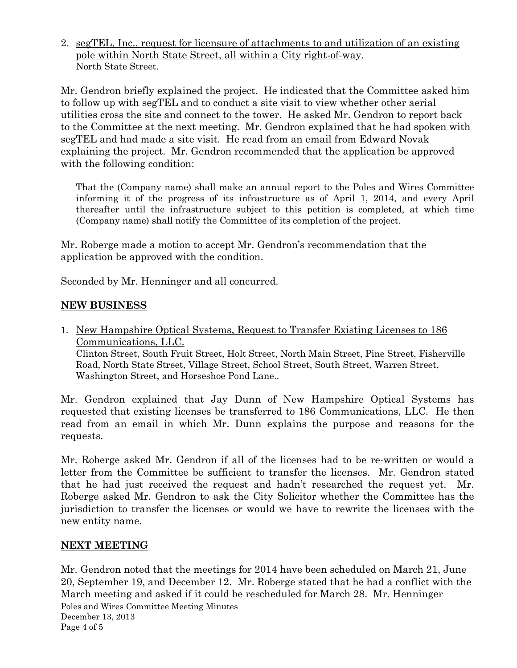2. segTEL, Inc., request for licensure of attachments to and utilization of an existing pole within North State Street, all within a City right-of-way. North State Street.

Mr. Gendron briefly explained the project. He indicated that the Committee asked him to follow up with segTEL and to conduct a site visit to view whether other aerial utilities cross the site and connect to the tower. He asked Mr. Gendron to report back to the Committee at the next meeting. Mr. Gendron explained that he had spoken with segTEL and had made a site visit. He read from an email from Edward Novak explaining the project. Mr. Gendron recommended that the application be approved with the following condition:

That the (Company name) shall make an annual report to the Poles and Wires Committee informing it of the progress of its infrastructure as of April 1, 2014, and every April thereafter until the infrastructure subject to this petition is completed, at which time (Company name) shall notify the Committee of its completion of the project.

Mr. Roberge made a motion to accept Mr. Gendron's recommendation that the application be approved with the condition.

Seconded by Mr. Henninger and all concurred.

# NEW BUSINESS

1. New Hampshire Optical Systems, Request to Transfer Existing Licenses to 186 Communications, LLC. Clinton Street, South Fruit Street, Holt Street, North Main Street, Pine Street, Fisherville Road, North State Street, Village Street, School Street, South Street, Warren Street, Washington Street, and Horseshoe Pond Lane..

Mr. Gendron explained that Jay Dunn of New Hampshire Optical Systems has requested that existing licenses be transferred to 186 Communications, LLC. He then read from an email in which Mr. Dunn explains the purpose and reasons for the requests.

Mr. Roberge asked Mr. Gendron if all of the licenses had to be re-written or would a letter from the Committee be sufficient to transfer the licenses. Mr. Gendron stated that he had just received the request and hadn't researched the request yet. Mr. Roberge asked Mr. Gendron to ask the City Solicitor whether the Committee has the jurisdiction to transfer the licenses or would we have to rewrite the licenses with the new entity name.

# NEXT MEETING

Poles and Wires Committee Meeting Minutes December 13, 2013 Page 4 of 5 Mr. Gendron noted that the meetings for 2014 have been scheduled on March 21, June 20, September 19, and December 12. Mr. Roberge stated that he had a conflict with the March meeting and asked if it could be rescheduled for March 28. Mr. Henninger